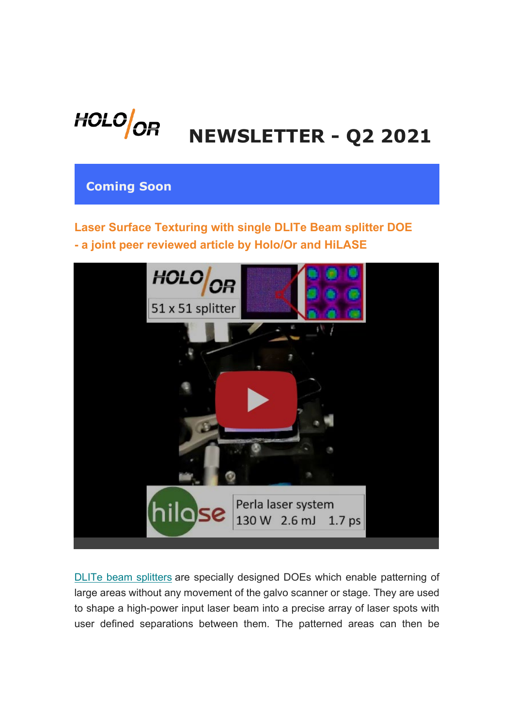

# **NEWSLETTER - Q2 2021**

## **Coming Soon**

# **Laser Surface Texturing with single DLITe Beam splitter DOE - a joint peer reviewed article by Holo/Or and HiLASE**



DLITe beam splitters are specially designed DOEs which enable patterning of large areas without any movement of the galvo scanner or stage. They are used to shape a high-power input laser beam into a precise array of laser spots with user defined separations between them. The patterned areas can then be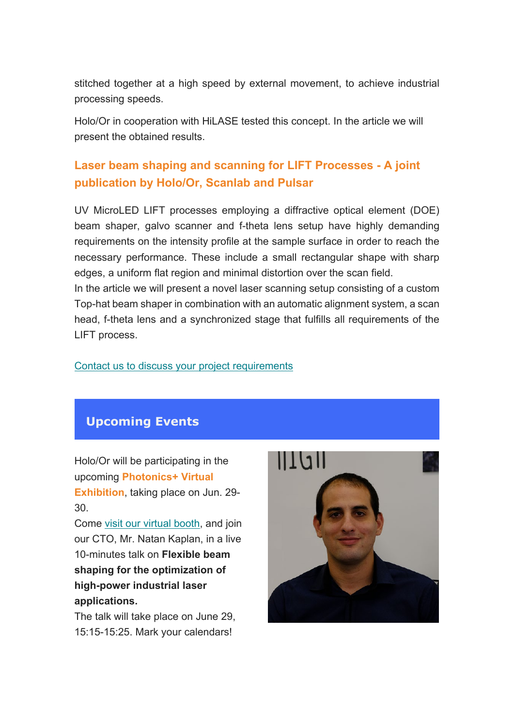stitched together at a high speed by external movement, to achieve industrial processing speeds.

Holo/Or in cooperation with HiLASE tested this concept. In the article we will present the obtained results.

# **Laser beam shaping and scanning for LIFT Processes - A joint publication by Holo/Or, Scanlab and Pulsar**

UV MicroLED LIFT processes employing a diffractive optical element (DOE) beam shaper, galvo scanner and f-theta lens setup have highly demanding requirements on the intensity profile at the sample surface in order to reach the necessary performance. These include a small rectangular shape with sharp edges, a uniform flat region and minimal distortion over the scan field. In the article we will present a novel laser scanning setup consisting of a custom

Top-hat beam shaper in combination with an automatic alignment system, a scan head, f-theta lens and a synchronized stage that fulfills all requirements of the LIFT process.

#### Contact us to discuss your project requirements

#### **Upcoming Events**

Holo/Or will be participating in the upcoming **Photonics+ Virtual Exhibition**, taking place on Jun. 29- 30.

Come visit our virtual booth, and join our CTO, Mr. Natan Kaplan, in a live 10-minutes talk on **Flexible beam shaping for the optimization of high-power industrial laser applications.**

The talk will take place on June 29, 15:15-15:25. Mark your calendars!

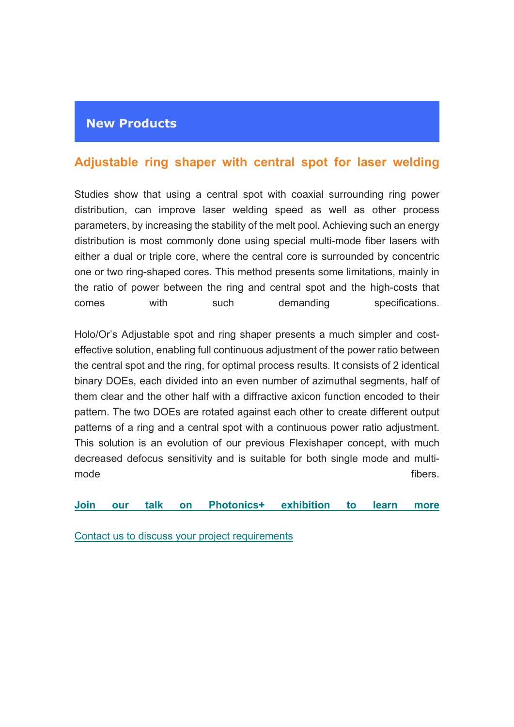#### **New Products**

#### **Adjustable ring shaper with central spot for laser welding**

Studies show that using a central spot with coaxial surrounding ring power distribution, can improve laser welding speed as well as other process parameters, by increasing the stability of the melt pool. Achieving such an energy distribution is most commonly done using special multi-mode fiber lasers with either a dual or triple core, where the central core is surrounded by concentric one or two ring-shaped cores. This method presents some limitations, mainly in the ratio of power between the ring and central spot and the high-costs that comes with such demanding specifications.

Holo/Or's Adjustable spot and ring shaper presents a much simpler and costeffective solution, enabling full continuous adjustment of the power ratio between the central spot and the ring, for optimal process results. It consists of 2 identical binary DOEs, each divided into an even number of azimuthal segments, half of them clear and the other half with a diffractive axicon function encoded to their pattern. The two DOEs are rotated against each other to create different output patterns of a ring and a central spot with a continuous power ratio adjustment. This solution is an evolution of our previous Flexishaper concept, with much decreased defocus sensitivity and is suitable for both single mode and multimode fibers.

**Join our talk on Photonics+ exhibition to learn more**

Contact us to discuss your project requirements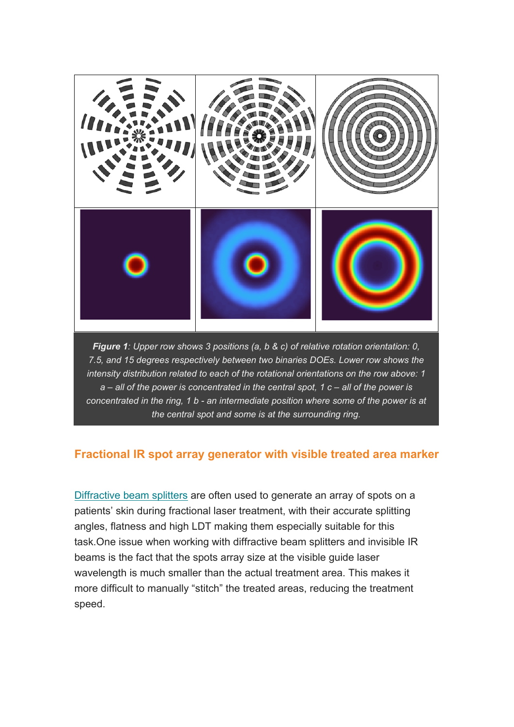

*Figure 1: Upper row shows 3 positions (a, b & c) of relative rotation orientation: 0, 7.5, and 15 degrees respectively between two binaries DOEs. Lower row shows the intensity distribution related to each of the rotational orientations on the row above: 1 a – all of the power is concentrated in the central spot, 1 c – all of the power is concentrated in the ring, 1 b - an intermediate position where some of the power is at the central spot and some is at the surrounding ring.*

#### **Fractional IR spot array generator with visible treated area marker**

Diffractive beam splitters are often used to generate an array of spots on a patients' skin during fractional laser treatment, with their accurate splitting angles, flatness and high LDT making them especially suitable for this task.One issue when working with diffractive beam splitters and invisible IR beams is the fact that the spots array size at the visible guide laser wavelength is much smaller than the actual treatment area. This makes it more difficult to manually "stitch" the treated areas, reducing the treatment speed.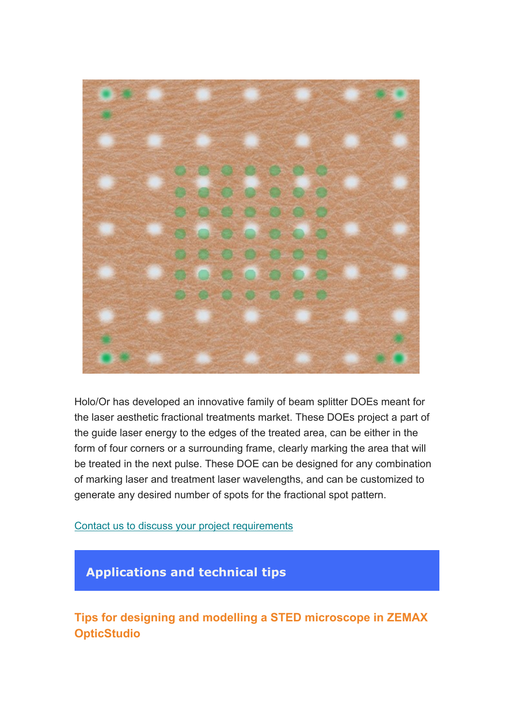

Holo/Or has developed an innovative family of beam splitter DOEs meant for the laser aesthetic fractional treatments market. These DOEs project a part of the guide laser energy to the edges of the treated area, can be either in the form of four corners or a surrounding frame, clearly marking the area that will be treated in the next pulse. These DOE can be designed for any combination of marking laser and treatment laser wavelengths, and can be customized to generate any desired number of spots for the fractional spot pattern.

Contact us to discuss your project requirements

# **Applications and technical tips**

**Tips for designing and modelling a STED microscope in ZEMAX OpticStudio**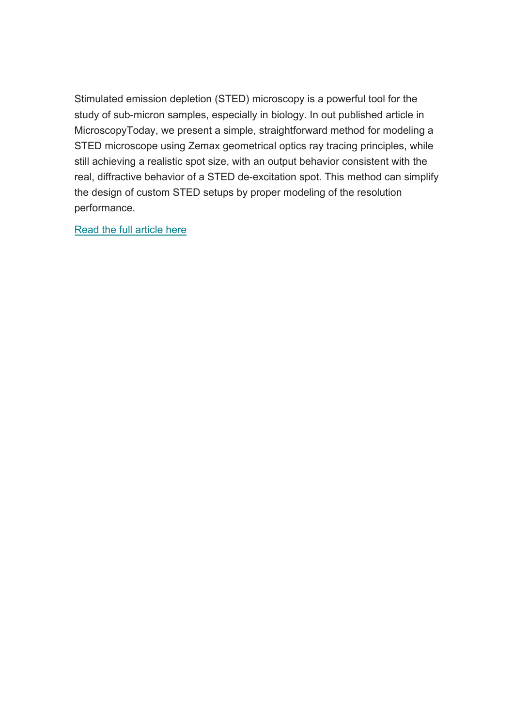Stimulated emission depletion (STED) microscopy is a powerful tool for the study of sub-micron samples, especially in biology. In out published article in MicroscopyToday, we present a simple, straightforward method for modeling a STED microscope using Zemax geometrical optics ray tracing principles, while still achieving a realistic spot size, with an output behavior consistent with the real, diffractive behavior of a STED de-excitation spot. This method can simplify the design of custom STED setups by proper modeling of the resolution performance.

Read the full article here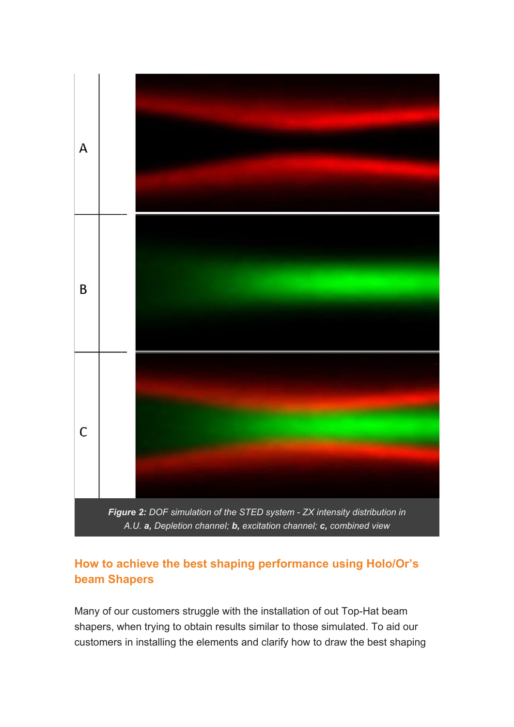

### **How to achieve the best shaping performance using Holo/Or's beam Shapers**

Many of our customers struggle with the installation of out Top-Hat beam shapers, when trying to obtain results similar to those simulated. To aid our customers in installing the elements and clarify how to draw the best shaping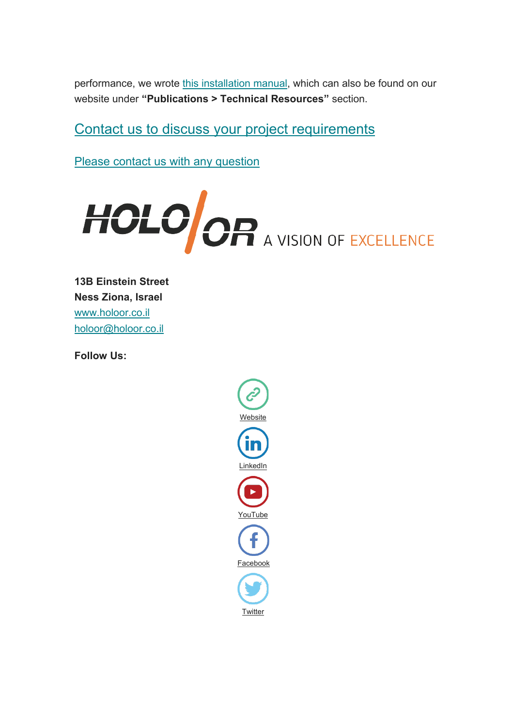performance, we wrote this installation manual, which can also be found on our website under **"Publications > Technical Resources"** section.

Contact us to discuss your project requirements

Please contact us with any question



**13B Einstein Street Ness Ziona, Israel** www.holoor.co.il holoor@holoor.co.il

**Follow Us:**